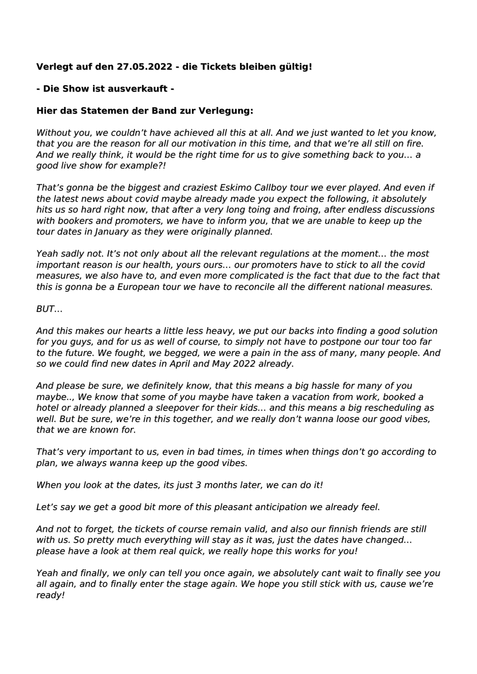## **Verlegt auf den 27.05.2022 - die Tickets bleiben gültig!**

## **- Die Show ist ausverkauft -**

## **Hier das Statemen der Band zur Verlegung:**

*Without you, we couldn't have achieved all this at all. And we just wanted to let you know, that you are the reason for all our motivation in this time, and that we're all still on fire. And we really think, it would be the right time for us to give something back to you… a good live show for example?!*

*That's gonna be the biggest and craziest Eskimo Callboy tour we ever played. And even if the latest news about covid maybe already made you expect the following, it absolutely hits us so hard right now, that after a very long toing and froing, after endless discussions with bookers and promoters, we have to inform you, that we are unable to keep up the tour dates in January as they were originally planned.*

*Yeah sadly not. It's not only about all the relevant regulations at the moment… the most important reason is our health, yours ours… our promoters have to stick to all the covid measures, we also have to, and even more complicated is the fact that due to the fact that this is gonna be a European tour we have to reconcile all the different national measures.*

*BUT…*

*And this makes our hearts a little less heavy, we put our backs into finding a good solution for you guys, and for us as well of course, to simply not have to postpone our tour too far to the future. We fought, we begged, we were a pain in the ass of many, many people. And so we could find new dates in April and May 2022 already.*

*And please be sure, we definitely know, that this means a big hassle for many of you maybe.., We know that some of you maybe have taken a vacation from work, booked a hotel or already planned a sleepover for their kids… and this means a big rescheduling as well. But be sure, we're in this together, and we really don't wanna loose our good vibes, that we are known for.*

*That's very important to us, even in bad times, in times when things don't go according to plan, we always wanna keep up the good vibes.*

*When you look at the dates, its just 3 months later, we can do it!*

*Let's say we get a good bit more of this pleasant anticipation we already feel.*

*And not to forget, the tickets of course remain valid, and also our finnish friends are still with us. So pretty much everything will stay as it was, just the dates have changed… please have a look at them real quick, we really hope this works for you!*

*Yeah and finally, we only can tell you once again, we absolutely cant wait to finally see you all again, and to finally enter the stage again. We hope you still stick with us, cause we're ready!*